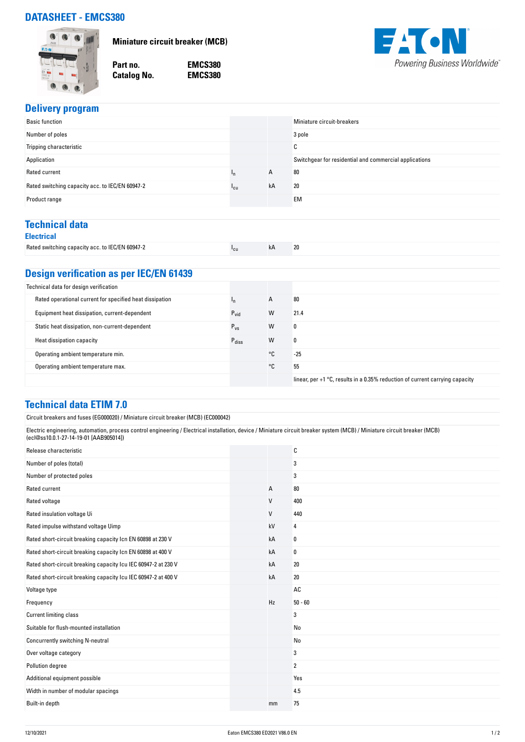# **DATASHEET - EMCS380**



**Miniature circuit breaker (MCB)**

**Catalog No.** 

**Part no. EMCS380**



## **Delivery program**

| <b>Basic function</b>                           |                 |    | Miniature circuit-breakers                             |
|-------------------------------------------------|-----------------|----|--------------------------------------------------------|
| Number of poles                                 |                 |    | 3 pole                                                 |
| Tripping characteristic                         |                 |    | $\sim$<br>◡                                            |
| Application                                     |                 |    | Switchgear for residential and commercial applications |
| Rated current                                   | ١n              | A  | 80                                                     |
| Rated switching capacity acc. to IEC/EN 60947-2 | <sup>1</sup> cu | kA | 20                                                     |
| Product range                                   |                 |    | <b>EM</b>                                              |
|                                                 |                 |    |                                                        |

# **Technical data**

|  | ۰. |  |
|--|----|--|
|  |    |  |

|--|

### **Design verification as per IEC/EN 61439**

| Technical data for design verification                   |                   |    |                                                                                          |
|----------------------------------------------------------|-------------------|----|------------------------------------------------------------------------------------------|
| Rated operational current for specified heat dissipation |                   | A  | 80                                                                                       |
| Equipment heat dissipation, current-dependent            | $P_{\text{vid}}$  | W  | 21.4                                                                                     |
| Static heat dissipation, non-current-dependent           | $P_{VS}$          | W  | 0                                                                                        |
| Heat dissipation capacity                                | $P_{\text{diss}}$ | W  | 0                                                                                        |
| Operating ambient temperature min.                       |                   | °C | $-25$                                                                                    |
| Operating ambient temperature max.                       |                   | °C | 55                                                                                       |
|                                                          |                   |    | linear, per $+1$ $^{\circ}$ C, results in a 0.35% reduction of current carrying capacity |

| Technical data ETIM 7.0                                                                                                                                                                                              |    |                |  |  |
|----------------------------------------------------------------------------------------------------------------------------------------------------------------------------------------------------------------------|----|----------------|--|--|
| Circuit breakers and fuses (EG000020) / Miniature circuit breaker (MCB) (EC000042)                                                                                                                                   |    |                |  |  |
| Electric engineering, automation, process control engineering / Electrical installation, device / Miniature circuit breaker system (MCB) / Miniature circuit breaker (MCB)<br>(ecl@ss10.0.1-27-14-19-01 [AAB905014]) |    |                |  |  |
| Release characteristic                                                                                                                                                                                               |    | C              |  |  |
| Number of poles (total)                                                                                                                                                                                              |    | 3              |  |  |
| Number of protected poles                                                                                                                                                                                            |    | 3              |  |  |
| Rated current                                                                                                                                                                                                        | Α  | 80             |  |  |
| Rated voltage                                                                                                                                                                                                        | V  | 400            |  |  |
| Rated insulation voltage Ui                                                                                                                                                                                          | V  | 440            |  |  |
| Rated impulse withstand voltage Uimp                                                                                                                                                                                 | kV | 4              |  |  |
| Rated short-circuit breaking capacity Icn EN 60898 at 230 V                                                                                                                                                          | kA | 0              |  |  |
| Rated short-circuit breaking capacity Icn EN 60898 at 400 V                                                                                                                                                          | kA | 0              |  |  |
| Rated short-circuit breaking capacity Icu IEC 60947-2 at 230 V                                                                                                                                                       | kA | 20             |  |  |
| Rated short-circuit breaking capacity Icu IEC 60947-2 at 400 V                                                                                                                                                       | kA | $20\,$         |  |  |
| Voltage type                                                                                                                                                                                                         |    | AC             |  |  |
| Frequency                                                                                                                                                                                                            | Hz | $50 - 60$      |  |  |
| <b>Current limiting class</b>                                                                                                                                                                                        |    | 3              |  |  |
| Suitable for flush-mounted installation                                                                                                                                                                              |    | No             |  |  |
| Concurrently switching N-neutral                                                                                                                                                                                     |    | No             |  |  |
| Over voltage category                                                                                                                                                                                                |    | 3              |  |  |
| Pollution degree                                                                                                                                                                                                     |    | $\overline{2}$ |  |  |
| Additional equipment possible                                                                                                                                                                                        |    | Yes            |  |  |
| Width in number of modular spacings                                                                                                                                                                                  |    | 4.5            |  |  |
| Built-in depth                                                                                                                                                                                                       | mm | 75             |  |  |